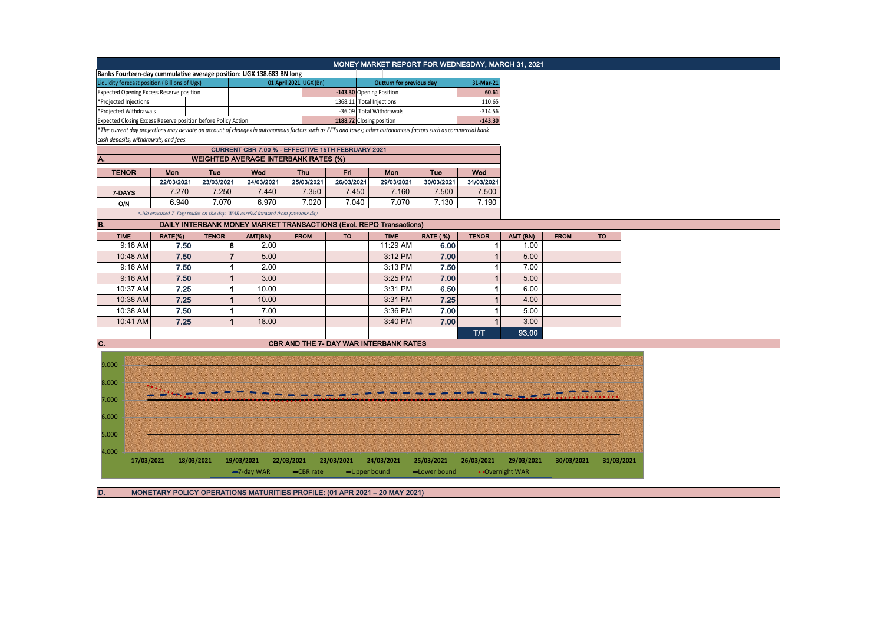| Banks Fourteen-day cummulative average position: UGX 138.683 BN long<br>01 April 2021 UGX (Bn)<br>31-Mar-21<br>Liquidity forecast position (Billions of Ugx)<br>Outturn for previous day<br><b>Expected Opening Excess Reserve position</b><br>-143.30 Opening Position<br>60.61<br>1368.11 Total Injections<br>110.65<br>*Projected Injections<br>*Projected Withdrawals<br>-36.09 Total Withdrawals<br>$-314.56$<br>Expected Closing Excess Reserve position before Policy Action<br>1188.72 Closing position<br>$-143.30$<br>*The current day projections may deviate on account of changes in autonomous factors such as EFTs and taxes; other autonomous factors such as commercial bank<br>cash deposits, withdrawals, and fees.<br>CURRENT CBR 7.00 % - EFFECTIVE 15TH FEBRUARY 2021<br><b>WEIGHTED AVERAGE INTERBANK RATES (%)</b><br>A.<br><b>TENOR</b><br>Fri<br>Tue<br>Wed<br>Mon<br>Wed<br><b>Thu</b><br>Mon<br>Tue<br>22/03/2021<br>23/03/2021<br>24/03/2021<br>25/03/2021<br>26/03/2021<br>29/03/2021<br>30/03/2021<br>31/03/2021<br>7.270<br>7.250<br>7.350<br>7.450<br>7.500<br>7.440<br>7.160<br>7.500<br>7-DAYS<br>7.070<br>7.020<br>7.070<br>6.940<br>6.970<br>7.040<br>7.130<br>7.190<br>O/N<br>*-No executed 7-Day trades on the day. WAR carried forward from previous day.<br>B.<br><b>DAILY INTERBANK MONEY MARKET TRANSACTIONS (Excl. REPO Transactions)</b><br><b>TIME</b><br><b>RATE (%)</b><br><b>TENOR</b><br><b>TO</b><br>RATE(%)<br><b>TENOR</b><br>AMT(BN)<br><b>FROM</b><br><b>TO</b><br><b>TIME</b><br>AMT (BN)<br><b>FROM</b><br>9:18 AM<br>7.50<br>8<br>2.00<br>11:29 AM<br>6.00<br>1.00<br>-1<br>7.50<br>$\overline{7}$<br>7.00<br>10:48 AM<br>5.00<br>3:12 PM<br>5.00<br>7.50<br>9:16 AM<br>2.00<br>7.50<br>7.00<br>3:13 PM<br>-1<br>-1<br>7.50<br>9:16 AM<br>3.00<br>3:25 PM<br>7.00<br>5.00<br>1<br>7.25<br>10:37 AM<br>10.00<br>3:31 PM<br>1<br>6.00<br>1<br>6.50<br>7.25<br>10:38 AM<br>3:31 PM<br>7.25<br>1<br>10.00<br>$\mathbf{1}$<br>4.00<br>7.50<br>10:38 AM<br>7.00<br>3:36 PM<br>7.00<br>5.00<br>-1<br>7.25<br>3.00<br>7.00<br>10:41 AM<br>18.00<br>3:40 PM<br>T/T<br>93.00<br>C.<br><b>CBR AND THE 7- DAY WAR INTERBANK RATES</b><br>9.000<br>8.000<br>7.000<br>6.000<br>5.000<br>4.000<br>18/03/2021<br>17/03/2021<br>19/03/2021<br>22/03/2021<br>23/03/2021<br>24/03/2021<br>25/03/2021<br>26/03/2021<br>29/03/2021<br>30/03/2021<br>31/03/2021 |  |  |  | MONEY MARKET REPORT FOR WEDNESDAY, MARCH 31, 2021 |  |  |
|-----------------------------------------------------------------------------------------------------------------------------------------------------------------------------------------------------------------------------------------------------------------------------------------------------------------------------------------------------------------------------------------------------------------------------------------------------------------------------------------------------------------------------------------------------------------------------------------------------------------------------------------------------------------------------------------------------------------------------------------------------------------------------------------------------------------------------------------------------------------------------------------------------------------------------------------------------------------------------------------------------------------------------------------------------------------------------------------------------------------------------------------------------------------------------------------------------------------------------------------------------------------------------------------------------------------------------------------------------------------------------------------------------------------------------------------------------------------------------------------------------------------------------------------------------------------------------------------------------------------------------------------------------------------------------------------------------------------------------------------------------------------------------------------------------------------------------------------------------------------------------------------------------------------------------------------------------------------------------------------------------------------------------------------------------------------------------------------------------------------------------------------------------------------------------------------------------------------------------------------------------------------------------------------------------------------------------------------------------------------------------------------------------|--|--|--|---------------------------------------------------|--|--|
|                                                                                                                                                                                                                                                                                                                                                                                                                                                                                                                                                                                                                                                                                                                                                                                                                                                                                                                                                                                                                                                                                                                                                                                                                                                                                                                                                                                                                                                                                                                                                                                                                                                                                                                                                                                                                                                                                                                                                                                                                                                                                                                                                                                                                                                                                                                                                                                                     |  |  |  |                                                   |  |  |
|                                                                                                                                                                                                                                                                                                                                                                                                                                                                                                                                                                                                                                                                                                                                                                                                                                                                                                                                                                                                                                                                                                                                                                                                                                                                                                                                                                                                                                                                                                                                                                                                                                                                                                                                                                                                                                                                                                                                                                                                                                                                                                                                                                                                                                                                                                                                                                                                     |  |  |  |                                                   |  |  |
|                                                                                                                                                                                                                                                                                                                                                                                                                                                                                                                                                                                                                                                                                                                                                                                                                                                                                                                                                                                                                                                                                                                                                                                                                                                                                                                                                                                                                                                                                                                                                                                                                                                                                                                                                                                                                                                                                                                                                                                                                                                                                                                                                                                                                                                                                                                                                                                                     |  |  |  |                                                   |  |  |
|                                                                                                                                                                                                                                                                                                                                                                                                                                                                                                                                                                                                                                                                                                                                                                                                                                                                                                                                                                                                                                                                                                                                                                                                                                                                                                                                                                                                                                                                                                                                                                                                                                                                                                                                                                                                                                                                                                                                                                                                                                                                                                                                                                                                                                                                                                                                                                                                     |  |  |  |                                                   |  |  |
|                                                                                                                                                                                                                                                                                                                                                                                                                                                                                                                                                                                                                                                                                                                                                                                                                                                                                                                                                                                                                                                                                                                                                                                                                                                                                                                                                                                                                                                                                                                                                                                                                                                                                                                                                                                                                                                                                                                                                                                                                                                                                                                                                                                                                                                                                                                                                                                                     |  |  |  |                                                   |  |  |
|                                                                                                                                                                                                                                                                                                                                                                                                                                                                                                                                                                                                                                                                                                                                                                                                                                                                                                                                                                                                                                                                                                                                                                                                                                                                                                                                                                                                                                                                                                                                                                                                                                                                                                                                                                                                                                                                                                                                                                                                                                                                                                                                                                                                                                                                                                                                                                                                     |  |  |  |                                                   |  |  |
|                                                                                                                                                                                                                                                                                                                                                                                                                                                                                                                                                                                                                                                                                                                                                                                                                                                                                                                                                                                                                                                                                                                                                                                                                                                                                                                                                                                                                                                                                                                                                                                                                                                                                                                                                                                                                                                                                                                                                                                                                                                                                                                                                                                                                                                                                                                                                                                                     |  |  |  |                                                   |  |  |
|                                                                                                                                                                                                                                                                                                                                                                                                                                                                                                                                                                                                                                                                                                                                                                                                                                                                                                                                                                                                                                                                                                                                                                                                                                                                                                                                                                                                                                                                                                                                                                                                                                                                                                                                                                                                                                                                                                                                                                                                                                                                                                                                                                                                                                                                                                                                                                                                     |  |  |  |                                                   |  |  |
|                                                                                                                                                                                                                                                                                                                                                                                                                                                                                                                                                                                                                                                                                                                                                                                                                                                                                                                                                                                                                                                                                                                                                                                                                                                                                                                                                                                                                                                                                                                                                                                                                                                                                                                                                                                                                                                                                                                                                                                                                                                                                                                                                                                                                                                                                                                                                                                                     |  |  |  |                                                   |  |  |
|                                                                                                                                                                                                                                                                                                                                                                                                                                                                                                                                                                                                                                                                                                                                                                                                                                                                                                                                                                                                                                                                                                                                                                                                                                                                                                                                                                                                                                                                                                                                                                                                                                                                                                                                                                                                                                                                                                                                                                                                                                                                                                                                                                                                                                                                                                                                                                                                     |  |  |  |                                                   |  |  |
|                                                                                                                                                                                                                                                                                                                                                                                                                                                                                                                                                                                                                                                                                                                                                                                                                                                                                                                                                                                                                                                                                                                                                                                                                                                                                                                                                                                                                                                                                                                                                                                                                                                                                                                                                                                                                                                                                                                                                                                                                                                                                                                                                                                                                                                                                                                                                                                                     |  |  |  |                                                   |  |  |
|                                                                                                                                                                                                                                                                                                                                                                                                                                                                                                                                                                                                                                                                                                                                                                                                                                                                                                                                                                                                                                                                                                                                                                                                                                                                                                                                                                                                                                                                                                                                                                                                                                                                                                                                                                                                                                                                                                                                                                                                                                                                                                                                                                                                                                                                                                                                                                                                     |  |  |  |                                                   |  |  |
|                                                                                                                                                                                                                                                                                                                                                                                                                                                                                                                                                                                                                                                                                                                                                                                                                                                                                                                                                                                                                                                                                                                                                                                                                                                                                                                                                                                                                                                                                                                                                                                                                                                                                                                                                                                                                                                                                                                                                                                                                                                                                                                                                                                                                                                                                                                                                                                                     |  |  |  |                                                   |  |  |
|                                                                                                                                                                                                                                                                                                                                                                                                                                                                                                                                                                                                                                                                                                                                                                                                                                                                                                                                                                                                                                                                                                                                                                                                                                                                                                                                                                                                                                                                                                                                                                                                                                                                                                                                                                                                                                                                                                                                                                                                                                                                                                                                                                                                                                                                                                                                                                                                     |  |  |  |                                                   |  |  |
|                                                                                                                                                                                                                                                                                                                                                                                                                                                                                                                                                                                                                                                                                                                                                                                                                                                                                                                                                                                                                                                                                                                                                                                                                                                                                                                                                                                                                                                                                                                                                                                                                                                                                                                                                                                                                                                                                                                                                                                                                                                                                                                                                                                                                                                                                                                                                                                                     |  |  |  |                                                   |  |  |
|                                                                                                                                                                                                                                                                                                                                                                                                                                                                                                                                                                                                                                                                                                                                                                                                                                                                                                                                                                                                                                                                                                                                                                                                                                                                                                                                                                                                                                                                                                                                                                                                                                                                                                                                                                                                                                                                                                                                                                                                                                                                                                                                                                                                                                                                                                                                                                                                     |  |  |  |                                                   |  |  |
|                                                                                                                                                                                                                                                                                                                                                                                                                                                                                                                                                                                                                                                                                                                                                                                                                                                                                                                                                                                                                                                                                                                                                                                                                                                                                                                                                                                                                                                                                                                                                                                                                                                                                                                                                                                                                                                                                                                                                                                                                                                                                                                                                                                                                                                                                                                                                                                                     |  |  |  |                                                   |  |  |
|                                                                                                                                                                                                                                                                                                                                                                                                                                                                                                                                                                                                                                                                                                                                                                                                                                                                                                                                                                                                                                                                                                                                                                                                                                                                                                                                                                                                                                                                                                                                                                                                                                                                                                                                                                                                                                                                                                                                                                                                                                                                                                                                                                                                                                                                                                                                                                                                     |  |  |  |                                                   |  |  |
|                                                                                                                                                                                                                                                                                                                                                                                                                                                                                                                                                                                                                                                                                                                                                                                                                                                                                                                                                                                                                                                                                                                                                                                                                                                                                                                                                                                                                                                                                                                                                                                                                                                                                                                                                                                                                                                                                                                                                                                                                                                                                                                                                                                                                                                                                                                                                                                                     |  |  |  |                                                   |  |  |
|                                                                                                                                                                                                                                                                                                                                                                                                                                                                                                                                                                                                                                                                                                                                                                                                                                                                                                                                                                                                                                                                                                                                                                                                                                                                                                                                                                                                                                                                                                                                                                                                                                                                                                                                                                                                                                                                                                                                                                                                                                                                                                                                                                                                                                                                                                                                                                                                     |  |  |  |                                                   |  |  |
|                                                                                                                                                                                                                                                                                                                                                                                                                                                                                                                                                                                                                                                                                                                                                                                                                                                                                                                                                                                                                                                                                                                                                                                                                                                                                                                                                                                                                                                                                                                                                                                                                                                                                                                                                                                                                                                                                                                                                                                                                                                                                                                                                                                                                                                                                                                                                                                                     |  |  |  |                                                   |  |  |
|                                                                                                                                                                                                                                                                                                                                                                                                                                                                                                                                                                                                                                                                                                                                                                                                                                                                                                                                                                                                                                                                                                                                                                                                                                                                                                                                                                                                                                                                                                                                                                                                                                                                                                                                                                                                                                                                                                                                                                                                                                                                                                                                                                                                                                                                                                                                                                                                     |  |  |  |                                                   |  |  |
|                                                                                                                                                                                                                                                                                                                                                                                                                                                                                                                                                                                                                                                                                                                                                                                                                                                                                                                                                                                                                                                                                                                                                                                                                                                                                                                                                                                                                                                                                                                                                                                                                                                                                                                                                                                                                                                                                                                                                                                                                                                                                                                                                                                                                                                                                                                                                                                                     |  |  |  |                                                   |  |  |
|                                                                                                                                                                                                                                                                                                                                                                                                                                                                                                                                                                                                                                                                                                                                                                                                                                                                                                                                                                                                                                                                                                                                                                                                                                                                                                                                                                                                                                                                                                                                                                                                                                                                                                                                                                                                                                                                                                                                                                                                                                                                                                                                                                                                                                                                                                                                                                                                     |  |  |  |                                                   |  |  |
|                                                                                                                                                                                                                                                                                                                                                                                                                                                                                                                                                                                                                                                                                                                                                                                                                                                                                                                                                                                                                                                                                                                                                                                                                                                                                                                                                                                                                                                                                                                                                                                                                                                                                                                                                                                                                                                                                                                                                                                                                                                                                                                                                                                                                                                                                                                                                                                                     |  |  |  |                                                   |  |  |
|                                                                                                                                                                                                                                                                                                                                                                                                                                                                                                                                                                                                                                                                                                                                                                                                                                                                                                                                                                                                                                                                                                                                                                                                                                                                                                                                                                                                                                                                                                                                                                                                                                                                                                                                                                                                                                                                                                                                                                                                                                                                                                                                                                                                                                                                                                                                                                                                     |  |  |  |                                                   |  |  |
|                                                                                                                                                                                                                                                                                                                                                                                                                                                                                                                                                                                                                                                                                                                                                                                                                                                                                                                                                                                                                                                                                                                                                                                                                                                                                                                                                                                                                                                                                                                                                                                                                                                                                                                                                                                                                                                                                                                                                                                                                                                                                                                                                                                                                                                                                                                                                                                                     |  |  |  |                                                   |  |  |
|                                                                                                                                                                                                                                                                                                                                                                                                                                                                                                                                                                                                                                                                                                                                                                                                                                                                                                                                                                                                                                                                                                                                                                                                                                                                                                                                                                                                                                                                                                                                                                                                                                                                                                                                                                                                                                                                                                                                                                                                                                                                                                                                                                                                                                                                                                                                                                                                     |  |  |  |                                                   |  |  |
|                                                                                                                                                                                                                                                                                                                                                                                                                                                                                                                                                                                                                                                                                                                                                                                                                                                                                                                                                                                                                                                                                                                                                                                                                                                                                                                                                                                                                                                                                                                                                                                                                                                                                                                                                                                                                                                                                                                                                                                                                                                                                                                                                                                                                                                                                                                                                                                                     |  |  |  |                                                   |  |  |
|                                                                                                                                                                                                                                                                                                                                                                                                                                                                                                                                                                                                                                                                                                                                                                                                                                                                                                                                                                                                                                                                                                                                                                                                                                                                                                                                                                                                                                                                                                                                                                                                                                                                                                                                                                                                                                                                                                                                                                                                                                                                                                                                                                                                                                                                                                                                                                                                     |  |  |  |                                                   |  |  |
|                                                                                                                                                                                                                                                                                                                                                                                                                                                                                                                                                                                                                                                                                                                                                                                                                                                                                                                                                                                                                                                                                                                                                                                                                                                                                                                                                                                                                                                                                                                                                                                                                                                                                                                                                                                                                                                                                                                                                                                                                                                                                                                                                                                                                                                                                                                                                                                                     |  |  |  |                                                   |  |  |
|                                                                                                                                                                                                                                                                                                                                                                                                                                                                                                                                                                                                                                                                                                                                                                                                                                                                                                                                                                                                                                                                                                                                                                                                                                                                                                                                                                                                                                                                                                                                                                                                                                                                                                                                                                                                                                                                                                                                                                                                                                                                                                                                                                                                                                                                                                                                                                                                     |  |  |  |                                                   |  |  |
|                                                                                                                                                                                                                                                                                                                                                                                                                                                                                                                                                                                                                                                                                                                                                                                                                                                                                                                                                                                                                                                                                                                                                                                                                                                                                                                                                                                                                                                                                                                                                                                                                                                                                                                                                                                                                                                                                                                                                                                                                                                                                                                                                                                                                                                                                                                                                                                                     |  |  |  |                                                   |  |  |
|                                                                                                                                                                                                                                                                                                                                                                                                                                                                                                                                                                                                                                                                                                                                                                                                                                                                                                                                                                                                                                                                                                                                                                                                                                                                                                                                                                                                                                                                                                                                                                                                                                                                                                                                                                                                                                                                                                                                                                                                                                                                                                                                                                                                                                                                                                                                                                                                     |  |  |  |                                                   |  |  |
|                                                                                                                                                                                                                                                                                                                                                                                                                                                                                                                                                                                                                                                                                                                                                                                                                                                                                                                                                                                                                                                                                                                                                                                                                                                                                                                                                                                                                                                                                                                                                                                                                                                                                                                                                                                                                                                                                                                                                                                                                                                                                                                                                                                                                                                                                                                                                                                                     |  |  |  |                                                   |  |  |
|                                                                                                                                                                                                                                                                                                                                                                                                                                                                                                                                                                                                                                                                                                                                                                                                                                                                                                                                                                                                                                                                                                                                                                                                                                                                                                                                                                                                                                                                                                                                                                                                                                                                                                                                                                                                                                                                                                                                                                                                                                                                                                                                                                                                                                                                                                                                                                                                     |  |  |  |                                                   |  |  |
|                                                                                                                                                                                                                                                                                                                                                                                                                                                                                                                                                                                                                                                                                                                                                                                                                                                                                                                                                                                                                                                                                                                                                                                                                                                                                                                                                                                                                                                                                                                                                                                                                                                                                                                                                                                                                                                                                                                                                                                                                                                                                                                                                                                                                                                                                                                                                                                                     |  |  |  |                                                   |  |  |
|                                                                                                                                                                                                                                                                                                                                                                                                                                                                                                                                                                                                                                                                                                                                                                                                                                                                                                                                                                                                                                                                                                                                                                                                                                                                                                                                                                                                                                                                                                                                                                                                                                                                                                                                                                                                                                                                                                                                                                                                                                                                                                                                                                                                                                                                                                                                                                                                     |  |  |  |                                                   |  |  |
| -7-day WAR<br>-CBR rate<br>-Upper bound<br>• Overnight WAR<br>-Lower bound                                                                                                                                                                                                                                                                                                                                                                                                                                                                                                                                                                                                                                                                                                                                                                                                                                                                                                                                                                                                                                                                                                                                                                                                                                                                                                                                                                                                                                                                                                                                                                                                                                                                                                                                                                                                                                                                                                                                                                                                                                                                                                                                                                                                                                                                                                                          |  |  |  |                                                   |  |  |
| D.<br>MONETARY POLICY OPERATIONS MATURITIES PROFILE: (01 APR 2021 - 20 MAY 2021)                                                                                                                                                                                                                                                                                                                                                                                                                                                                                                                                                                                                                                                                                                                                                                                                                                                                                                                                                                                                                                                                                                                                                                                                                                                                                                                                                                                                                                                                                                                                                                                                                                                                                                                                                                                                                                                                                                                                                                                                                                                                                                                                                                                                                                                                                                                    |  |  |  |                                                   |  |  |